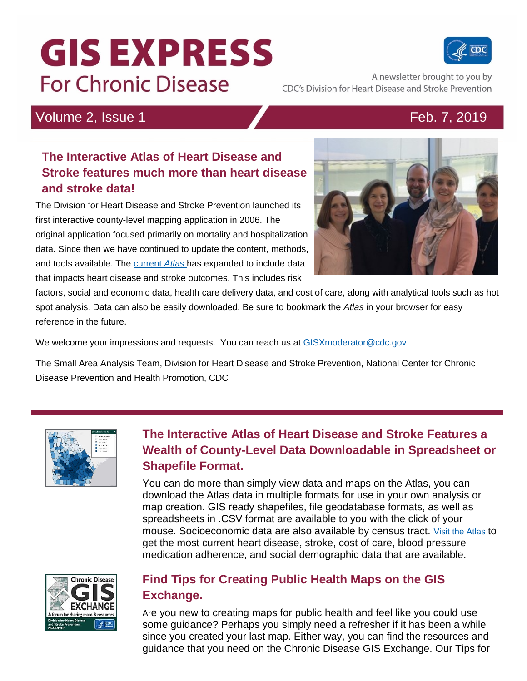# **GIS EXPRESS For Chronic Disease**



A newsletter brought to you by CDC's Division for Heart Disease and Stroke Prevention

# Volume 2, Issue 1 **Feb. 7, 2019**

## **The Interactive Atlas of Heart Disease and Stroke features much more than heart disease and stroke data!**

The Division for Heart Disease and Stroke Prevention launched its first interactive county-level mapping application in 2006. The original application focused primarily on mortality and hospitalization data. Since then we have continued to update the content, methods, and tools available. The [current](https://www.cdc.gov/dhdsp/maps/atlas/index.htm) *Atlas* has expanded to include data that impacts heart disease and stroke outcomes. This includes risk



factors, social and economic data, health care delivery data, and cost of care, along with analytical tools such as hot spot analysis. Data can also be easily downloaded. Be sure to bookmark the *Atlas* in your browser for easy reference in the future.

We welcome your impressions and requests. You can reach us at GISX moderator @cdc.gov

The Small Area Analysis Team, Division for Heart Disease and Stroke Prevention, National Center for Chronic Disease Prevention and Health Promotion, CDC



# **The Interactive Atlas of Heart Disease and Stroke Features a Wealth of County-Level Data Downloadable in Spreadsheet or Shapefile Format.**

You can do more than simply view data and maps on the Atlas, you can download the Atlas data in multiple formats for use in your own analysis or map creation. GIS ready shapefiles, file geodatabase formats, as well as spreadsheets in .CSV format are available to you with the click of your mouse. Socioeconomic data are also available by census tract. [Visit the Atlas](https://nccd.cdc.gov/DHDSPAtlas/) to get the most current heart disease, stroke, cost of care, blood pressure medication adherence, and social demographic data that are available.



### **Find Tips for Creating Public Health Maps on the GIS Exchange.**

Are you new to creating maps for public health and feel like you could use some guidance? Perhaps you simply need a refresher if it has been a while since you created your last map. Either way, you can find the resources and guidance that you need on the Chronic Disease GIS Exchange. Our Tips for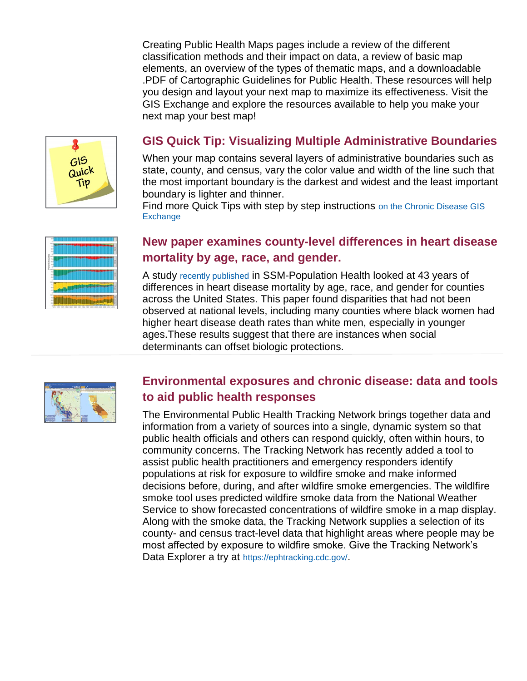Creating Public Health Maps pages include a review of the different classification methods and their impact on data, a review of basic map elements, an overview of the types of thematic maps, and a downloadable .PDF of Cartographic Guidelines for Public Health. These resources will help you design and layout your next map to maximize its effectiveness. [Visit the](https://www.cdc.gov/dhdsp/maps/gisx/resources/tips-creating-ph-maps.html)  [GIS Exchange](https://www.cdc.gov/dhdsp/maps/gisx/resources/tips-creating-ph-maps.html) and explore the resources available to help you make your next map your best map!



#### **GIS Quick Tip: Visualizing Multiple Administrative Boundaries**

When your map contains several layers of administrative boundaries such as state, county, and census, vary the color value and width of the line such that the most important boundary is the darkest and widest and the least important boundary is lighter and thinner.

Find more Quick Tips with step by step instructions [on the Chronic Disease GIS](https://www.cdc.gov/dhdsp/maps/gisx/gis-quick-tips-archive.html)  **[Exchange](https://www.cdc.gov/dhdsp/maps/gisx/gis-quick-tips-archive.html)** 



#### **New paper examines county-level differences in heart disease mortality by age, race, and gender.**

A study [recently published](https://www.ncbi.nlm.nih.gov/pmc/articles/PMC6299149/) in SSM-Population Health looked at 43 years of differences in heart disease mortality by age, race, and gender for counties across the United States. This paper found disparities that had not been observed at national levels, including many counties where black women had higher heart disease death rates than white men, especially in younger ages.These results suggest that there are instances when social determinants can offset biologic protections.



#### **Environmental exposures and chronic disease: data and tools to aid public health responses**

The Environmental Public Health Tracking Network brings together data and information from a variety of sources into a single, dynamic system so that public health officials and others can respond quickly, often within hours, to community concerns. The Tracking Network has recently added a tool to assist public health practitioners and emergency responders identify populations at risk for exposure to wildfire smoke and make informed decisions before, during, and after wildfire smoke emergencies. The wildlfire smoke tool uses predicted wildfire smoke data from the National Weather Service to show forecasted concentrations of wildfire smoke in a map display. Along with the smoke data, the Tracking Network supplies a selection of its county- and census tract-level data that highlight areas where people may be most affected by exposure to wildfire smoke. Give the Tracking Network's Data Explorer a try at <https://ephtracking.cdc.gov/>.